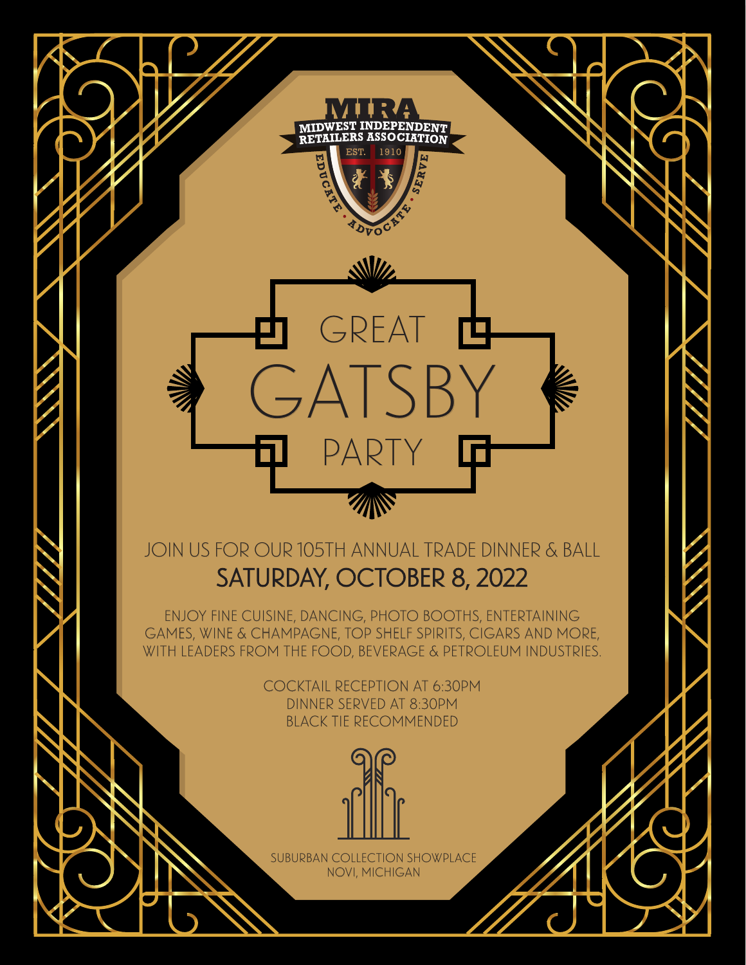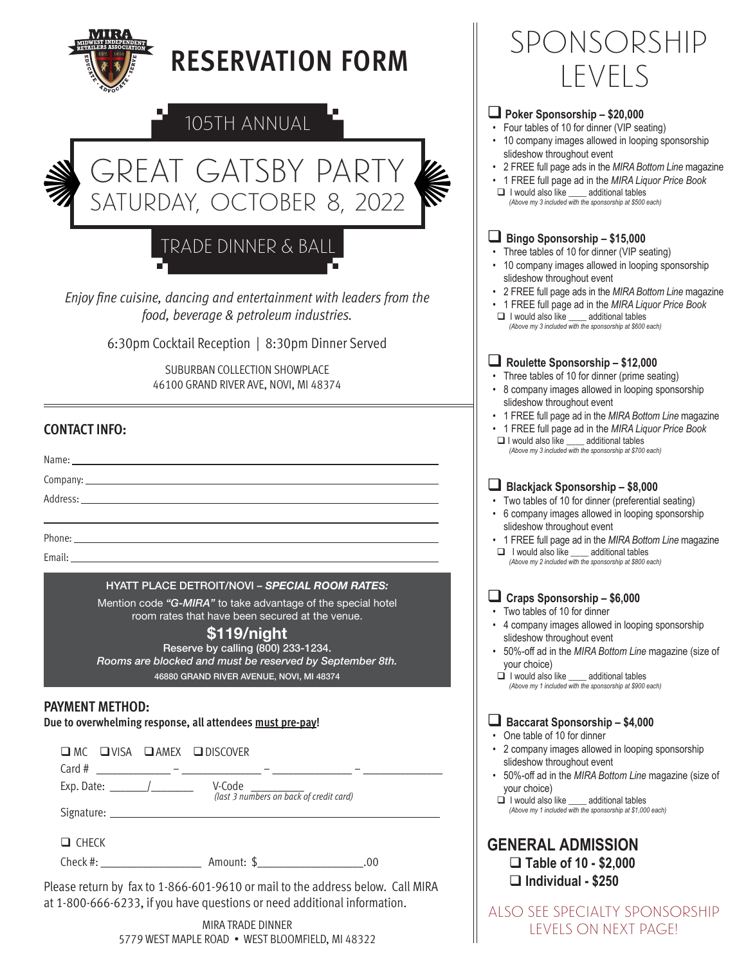| <b>RESERVATION FORM</b>                                                                                                                                                                                                                                                                                                               | SPONSORSHIP<br>LEVELS                                                                                                                                                                                                                                                                                                                                                                                      |
|---------------------------------------------------------------------------------------------------------------------------------------------------------------------------------------------------------------------------------------------------------------------------------------------------------------------------------------|------------------------------------------------------------------------------------------------------------------------------------------------------------------------------------------------------------------------------------------------------------------------------------------------------------------------------------------------------------------------------------------------------------|
| 105TH ANNUAL<br><b>GREAT GATSBY PARTY</b><br>K<br>SATURDAY, OCTOBER 8, 2022                                                                                                                                                                                                                                                           | Poker Sponsorship - \$20,000<br>Four tables of 10 for dinner (VIP seating)<br>• 10 company images allowed in looping sponsorship<br>slideshow throughout event<br>• 2 FREE full page ads in the MIRA Bottom Line magazine<br>• 1 FREE full page ad in the MIRA Liquor Price Book<br>I would also like _____ additional tables<br>(Above my 3 included with the sponsorship at \$500 each)                  |
| TRADE DINNER & BALL<br>Enjoy fine cuisine, dancing and entertainment with leaders from the<br>food, beverage & petroleum industries.                                                                                                                                                                                                  | $\blacksquare$ Bingo Sponsorship - \$15,000<br>• Three tables of 10 for dinner (VIP seating)<br>• 10 company images allowed in looping sponsorship<br>slideshow throughout event<br>• 2 FREE full page ads in the MIRA Bottom Line magazine<br>• 1 FREE full page ad in the MIRA Liquor Price Book<br>I would also like ____ additional tables<br>(Above my 3 included with the sponsorship at \$600 each) |
| 6:30pm Cocktail Reception   8:30pm Dinner Served<br>SUBURBAN COLLECTION SHOWPLACE<br>46100 GRAND RIVER AVE, NOVI, MI 48374<br><b>CONTACT INFO:</b><br>Name: _<br>the control of the control of the control of the control of the control of the control of                                                                            | Roulette Sponsorship - \$12,000<br>Three tables of 10 for dinner (prime seating)<br>• 8 company images allowed in looping sponsorship<br>slideshow throughout event<br>• 1 FREE full page ad in the MIRA Bottom Line magazine<br>• 1 FREE full page ad in the MIRA Liquor Price Book<br>$\Box$ I would also like<br>additional tables<br>(Above my 3 included with the sponsorship at \$700 each)          |
| Address: the contract of the contract of the contract of the contract of the contract of the contract of the contract of the contract of the contract of the contract of the contract of the contract of the contract of the c<br>Phone:<br>Email:                                                                                    | Blackjack Sponsorship - \$8,000<br>• Two tables of 10 for dinner (preferential seating)<br>• 6 company images allowed in looping sponsorship<br>slideshow throughout event<br>• 1 FREE full page ad in the MIRA Bottom Line magazine<br>$\Box$ I would also like $\_\_\_\$ additional tables<br>(Above my 2 included with the sponsorship at \$800 each)                                                   |
| <b>HYATT PLACE DETROIT/NOVI - SPECIAL ROOM RATES:</b><br>Mention code "G-MIRA" to take advantage of the special hotel<br>room rates that have been secured at the venue.<br>\$119/night<br>Reserve by calling (800) 233-1234.<br>Rooms are blocked and must be reserved by September 8th.<br>46880 GRAND RIVER AVENUE, NOVI, MI 48374 | $\Box$ Craps Sponsorship - \$6,000<br>• Two tables of 10 for dinner<br>• 4 company images allowed in looping sponsorship<br>slideshow throughout event<br>• 50%-off ad in the MIRA Bottom Line magazine (size of<br>your choice)<br>I would also like ____ additional tables<br>(Above my 1 included with the sponsorship at \$900 each)                                                                   |
| <b>PAYMENT METHOD:</b><br>Due to overwhelming response, all attendees must pre-pay!<br>$\Box$ MC $\Box$ VISA $\Box$ AMEX $\Box$ DISCOVER<br>V-Code<br>(last 3 numbers on back of credit card)<br>Exp. Date: $\frac{1}{2}$                                                                                                             | Baccarat Sponsorship - \$4,000<br>• One table of 10 for dinner<br>• 2 company images allowed in looping sponsorship<br>slideshow throughout event<br>• 50%-off ad in the MIRA Bottom Line magazine (size of<br>your choice)<br>I would also like ____ additional tables<br>(Above my 1 included with the sponsorship at \$1,000 each)                                                                      |
| $\Box$ CHECK<br>Please return by fax to 1-866-601-9610 or mail to the address below. Call MIRA<br>at 1-800-666-6233, if you have questions or need additional information.<br>MIRA TRADE DINNER<br>5779 WEST MAPLE ROAD . WEST BLOOMFIELD, MI 48322                                                                                   | <b>GENERAL ADMISSION</b><br>$\Box$ Table of 10 - \$2,000<br>$\Box$ Individual - \$250<br><b>ALSO SEE SPECIALTY SPONSORSHIP</b><br>LEVELS ON NEXT PAGE!                                                                                                                                                                                                                                                     |

MIRA TRADE DINNER 5779 WEST MAPLE ROAD • WEST BLOOMFIELD, MI 48322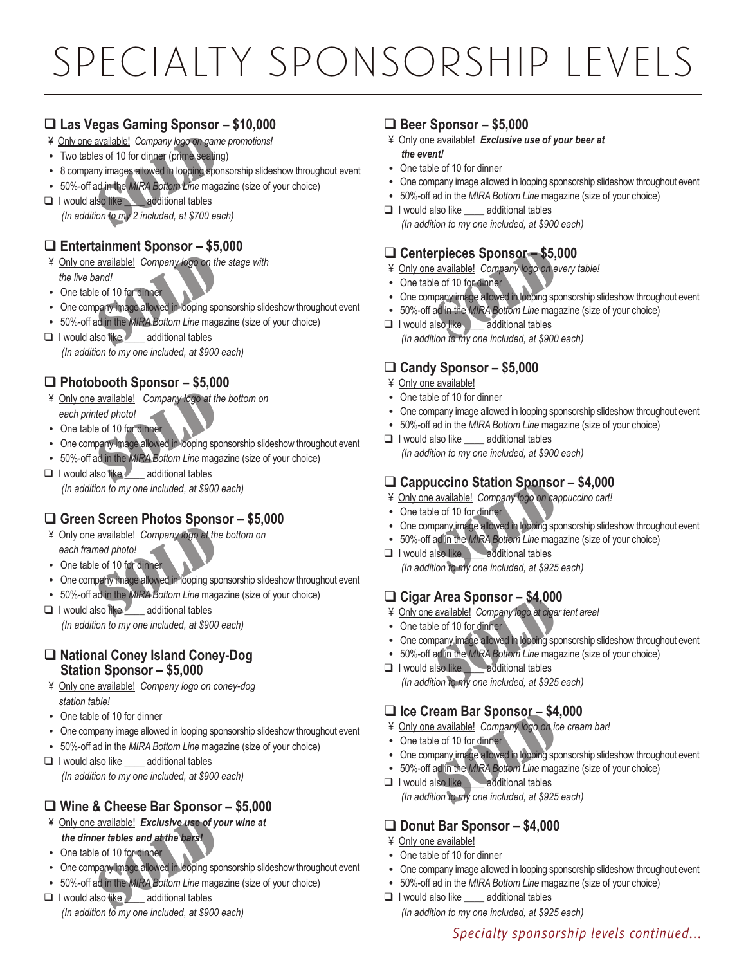# specialty sponsorship levels

# q **Las Vegas Gaming Sponsor – \$10,000**

- ¥ Only one available! *Company logo on game promotions!*
- Two tables of 10 for dinner (prime seating)
- 8 company images allowed in looping sponsorship slideshow throughout event
- 50%-off ad in the *MIRA Bottom Line* magazine (size of your choice)
- **Q** I would also like additional tables  *(In addition to my 2 included, at \$700 each)* available! Company logo on games of 10 for dinner (prime seating<br>the seating in the MIRA Bolton Line mages<br>ad in the MIRA Bolton Line mages<br>so like additional tables<br>for to my 2 included, at \$700 ea

# q **Entertainment Sponsor – \$5,000**

- ¥ Only one available! *Company logo on the stage with the live band!* SOLD
- One table of 10 for dinner
- One company image allowed in looping sponsorship slideshow throughout event
- 50%-off ad in the *MIRA Bottom Line* magazine (size of your choice)
- $\Box$  I would also like additional tables  *(In addition to my one included, at \$900 each)*

# q **Photobooth Sponsor – \$5,000**

- ¥ Only one available! *Company logo at the bottom on each printed photo!* SOLD
- One table of 10 for dinner
- One company image allowed in looping sponsorship slideshow throughout event
- 50%-off ad in the *MIRA Bottom Line* magazine (size of your choice)
- $\Box$  I would also like  $\angle$  additional tables  *(In addition to my one included, at \$900 each)*

# q **Green Screen Photos Sponsor – \$5,000**

- ¥ Only one available! *Company logo at the bottom on each framed photo!*  available! Company to go at the<br>
med photo!<br>
e of 10 for dinner<br>
pany image allowed in looping spo<br>
ad in the MIRA Bottom Line maga<br>
Iso like
- One table of 10 for dinner
- One company image allowed in looping sponsorship slideshow throughout event
- 50%-off ad in the *MIRA Bottom Line* magazine (size of your choice)
- **Q** I would also like \_\_\_\_\_ additional tables  *(In addition to my one included, at \$900 each)*

### q **National Coney Island Coney-Dog Station Sponsor – \$5,000**

- ¥ Only one available! *Company logo on coney-dog station table!*
- One table of 10 for dinner
- One company image allowed in looping sponsorship slideshow throughout event
- 50%-off ad in the *MIRA Bottom Line* magazine (size of your choice)
- $\Box$  I would also like additional tables  *(In addition to my one included, at \$900 each)*

# q **Wine & Cheese Bar Sponsor – \$5,000**

- ¥ Only one available!*Exclusive use of your wine at the dinner tables and at the bars!* SOLD
- One table of 10 for dinner
- One company image allowed in looping sponsorship slideshow throughout event
- 50%-off ad in the *MIRA Bottom Line* magazine (size of your choice)
- **Q** I would also like \_\_\_\_\_ additional tables  *(In addition to my one included, at \$900 each)*

## q **Beer Sponsor – \$5,000**

- ¥ Only one available!*Exclusive use of your beer at the event!*
- One table of 10 for dinner
- One company image allowed in looping sponsorship slideshow throughout event
- 50%-off ad in the *MIRA Bottom Line* magazine (size of your choice)
- $\Box$  I would also like additional tables  *(In addition to my one included, at \$900 each)*

# q **Centerpieces Sponsor – \$5,000**

- ¥ Only one available! *Company logo on every table!*
- One table of 10 for dinner
- One company image allowed in looping sponsorship slideshow throughout event
- 50%-off ad in the *MIRA Bottom Line* magazine (size of your choice)
- $\Box$  I would also like  $\Box$  additional tables  *(In addition to my one included, at \$900 each)* **rpieces Sponsor - \$5, company of the ST ACC COMPANY**<br>
Le of 10 for dinner<br>
pany image allowed in looping sponsor<br>
ad in the MIRA Bottom Line mage<br>
Iso like additional tables<br>
ion to my one included at \$900

# □ Candy Sponsor – \$5,000

- ¥ Only one available!
- One table of 10 for dinner
- One company image allowed in looping sponsorship slideshow throughout event
- 50%-off ad in the *MIRA Bottom Line* magazine (size of your choice)
- $\Box$  I would also like additional tables  *(In addition to my one included, at \$900 each)*

### q **Cappuccino Station Sponsor – \$4,000**

- ¥ Only one available! *Company logo on cappuccino cart!*
- One table of 10 for dinner
- One company image allowed in looping sponsorship slideshow throughout event
- 50%-off ad in the *MIRA Bottom Line* magazine (size of your choice)
- **Q** I would also like **Leadditional tables**  *(In addition to my one included, at \$925 each)* **Accino Station Sponso**<br> **Accino Station Sponsor**<br> **Accinomy image allowed in looping sponsor**<br> **Accinomy image allowed in looping sponsor**<br> **Accident Line mage**<br> **Accident Line mages and the Constrainer Accident Sponsor**<br>

## q **Cigar Area Sponsor – \$4,000**

- ¥ Only one available! *Company logo at cigar tent area!*
- One table of 10 for dinner
- One company image allowed in looping sponsorship slideshow throughout event
- 50%-off ad in the *MIRA Bottom Line* magazine (size of your choice)<br>**1** I would also like additional tables
- $\Box$  I would also like  *(In addition to my one included, at \$925 each)* **Area Sponsor - \$4,000**<br>
<u>available!</u> Company fogo at clgare<br>
of 10 for dinner<br>
pany image allowed in looping sponsing<br>
ad in the MIRA Bottom Line mage<br>
slso like<br>
additional tables<br>
additional tables<br>
ion to my one includ

## q **Ice Cream Bar Sponsor – \$4,000**

- ¥ Only one available! *Company logo on ice cream bar!*
- One table of 10 for dinner
- One company image allowed in looping sponsorship slideshow throughout event
- 50%-off ad in the *MIRA Bottom Line* magazine (size of your choice)
- **Q** I would also like **Leadditional tables**  *(In addition to my one included, at \$925 each)* **EXECUTE:** Sponsor - \$4<br> **EXECUTE:** A available! Company logo on ic<br>
is e of 10 for dinner<br>
pany image allowed in looping sponsor<br>
and in the MIRA Bottom Line mage<br>
Iso like<br>
additional tables<br>
ion to my one included, at \$

### q **Donut Bar Sponsor – \$4,000**

- ¥ Only one available!
- One table of 10 for dinner
- One company image allowed in looping sponsorship slideshow throughout event
- 50%-off ad in the *MIRA Bottom Line* magazine (size of your choice)
- $\Box$  I would also like additional tables

 *(In addition to my one included, at \$925 each)*